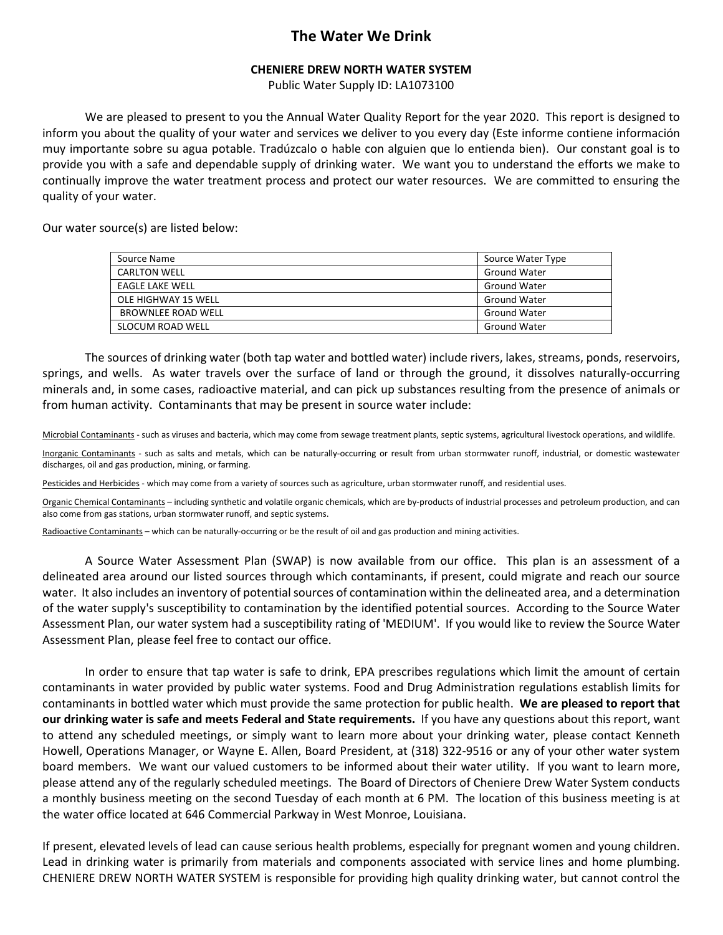## **The Water We Drink**

## **CHENIERE DREW NORTH WATER SYSTEM**

Public Water Supply ID: LA1073100

 We are pleased to present to you the Annual Water Quality Report for the year 2020. This report is designed to inform you about the quality of your water and services we deliver to you every day (Este informe contiene información muy importante sobre su agua potable. Tradúzcalo o hable con alguien que lo entienda bien). Our constant goal is to provide you with a safe and dependable supply of drinking water. We want you to understand the efforts we make to continually improve the water treatment process and protect our water resources. We are committed to ensuring the quality of your water.

Our water source(s) are listed below:

| Source Name             | Source Water Type   |
|-------------------------|---------------------|
| <b>CARLTON WELL</b>     | <b>Ground Water</b> |
| EAGLE LAKE WELL         | <b>Ground Water</b> |
| OLE HIGHWAY 15 WELL     | <b>Ground Water</b> |
| BROWNLEE ROAD WELL      | <b>Ground Water</b> |
| <b>SLOCUM ROAD WELL</b> | <b>Ground Water</b> |

 The sources of drinking water (both tap water and bottled water) include rivers, lakes, streams, ponds, reservoirs, springs, and wells. As water travels over the surface of land or through the ground, it dissolves naturally-occurring minerals and, in some cases, radioactive material, and can pick up substances resulting from the presence of animals or from human activity. Contaminants that may be present in source water include:

Microbial Contaminants - such as viruses and bacteria, which may come from sewage treatment plants, septic systems, agricultural livestock operations, and wildlife.

Inorganic Contaminants - such as salts and metals, which can be naturally-occurring or result from urban stormwater runoff, industrial, or domestic wastewater discharges, oil and gas production, mining, or farming.

Pesticides and Herbicides - which may come from a variety of sources such as agriculture, urban stormwater runoff, and residential uses.

Organic Chemical Contaminants – including synthetic and volatile organic chemicals, which are by-products of industrial processes and petroleum production, and can also come from gas stations, urban stormwater runoff, and septic systems.

Radioactive Contaminants – which can be naturally-occurring or be the result of oil and gas production and mining activities.

 A Source Water Assessment Plan (SWAP) is now available from our office. This plan is an assessment of a delineated area around our listed sources through which contaminants, if present, could migrate and reach our source water. It also includes an inventory of potential sources of contamination within the delineated area, and a determination of the water supply's susceptibility to contamination by the identified potential sources. According to the Source Water Assessment Plan, our water system had a susceptibility rating of 'MEDIUM'. If you would like to review the Source Water Assessment Plan, please feel free to contact our office.

 In order to ensure that tap water is safe to drink, EPA prescribes regulations which limit the amount of certain contaminants in water provided by public water systems. Food and Drug Administration regulations establish limits for contaminants in bottled water which must provide the same protection for public health. **We are pleased to report that our drinking water is safe and meets Federal and State requirements.** If you have any questions about this report, want to attend any scheduled meetings, or simply want to learn more about your drinking water, please contact Kenneth Howell, Operations Manager, or Wayne E. Allen, Board President, at (318) 322-9516 or any of your other water system board members. We want our valued customers to be informed about their water utility. If you want to learn more, please attend any of the regularly scheduled meetings. The Board of Directors of Cheniere Drew Water System conducts a monthly business meeting on the second Tuesday of each month at 6 PM. The location of this business meeting is at the water office located at 646 Commercial Parkway in West Monroe, Louisiana.

If present, elevated levels of lead can cause serious health problems, especially for pregnant women and young children. Lead in drinking water is primarily from materials and components associated with service lines and home plumbing. CHENIERE DREW NORTH WATER SYSTEM is responsible for providing high quality drinking water, but cannot control the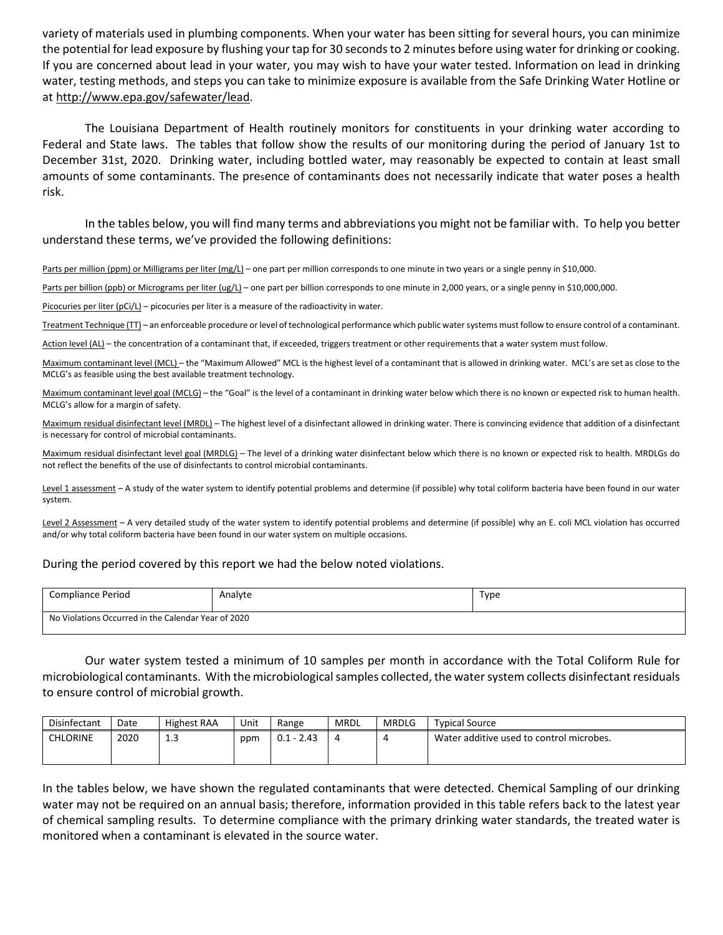variety of materials used in plumbing components. When your water has been sitting for several hours, you can minimize the potential for lead exposure by flushing your tap for 30 seconds to 2 minutes before using water for drinking or cooking. If you are concerned about lead in your water, you may wish to have your water tested. Information on lead in drinking water, testing methods, and steps you can take to minimize exposure is available from the Safe Drinking Water Hotline or at http://www.epa.gov/safewater/lead.

 The Louisiana Department of Health routinely monitors for constituents in your drinking water according to Federal and State laws. The tables that follow show the results of our monitoring during the period of January 1st to December 31st, 2020. Drinking water, including bottled water, may reasonably be expected to contain at least small amounts of some contaminants. The presence of contaminants does not necessarily indicate that water poses a health risk.

 In the tables below, you will find many terms and abbreviations you might not be familiar with. To help you better understand these terms, we've provided the following definitions:

Parts per million (ppm) or Milligrams per liter (mg/L) – one part per million corresponds to one minute in two years or a single penny in \$10,000.

Parts per billion (ppb) or Micrograms per liter (ug/L) – one part per billion corresponds to one minute in 2,000 years, or a single penny in \$10,000,000.

Picocuries per liter (pCi/L) – picocuries per liter is a measure of the radioactivity in water.

Treatment Technique (TT) – an enforceable procedure or level of technological performance which public water systems must follow to ensure control of a contaminant.

Action level (AL) – the concentration of a contaminant that, if exceeded, triggers treatment or other requirements that a water system must follow.

Maximum contaminant level (MCL) – the "Maximum Allowed" MCL is the highest level of a contaminant that is allowed in drinking water. MCL's are set as close to the MCLG's as feasible using the best available treatment technology.

Maximum contaminant level goal (MCLG) – the "Goal" is the level of a contaminant in drinking water below which there is no known or expected risk to human health. MCLG's allow for a margin of safety.

Maximum residual disinfectant level (MRDL) – The highest level of a disinfectant allowed in drinking water. There is convincing evidence that addition of a disinfectant is necessary for control of microbial contaminants.

Maximum residual disinfectant level goal (MRDLG) – The level of a drinking water disinfectant below which there is no known or expected risk to health. MRDLGs do not reflect the benefits of the use of disinfectants to control microbial contaminants.

Level 1 assessment - A study of the water system to identify potential problems and determine (if possible) why total coliform bacteria have been found in our water system.

Level 2 Assessment - A very detailed study of the water system to identify potential problems and determine (if possible) why an E. coli MCL violation has occurred and/or why total coliform bacteria have been found in our water system on multiple occasions.

## During the period covered by this report we had the below noted violations.

| Compliance Period                                   | Analyte | Type |  |  |  |  |  |
|-----------------------------------------------------|---------|------|--|--|--|--|--|
| No Violations Occurred in the Calendar Year of 2020 |         |      |  |  |  |  |  |

Our water system tested a minimum of 10 samples per month in accordance with the Total Coliform Rule for microbiological contaminants. With the microbiological samples collected, the water system collects disinfectant residuals to ensure control of microbial growth.

| Disinfectant    | Date | <b>Highest RAA</b> | Unit | Range        | <b>MRDL</b> | <b>MRDLG</b> | <b>Typical Source</b>                    |
|-----------------|------|--------------------|------|--------------|-------------|--------------|------------------------------------------|
| <b>CHLORINE</b> | 2020 | .                  | ppm  | $0.1 - 2.43$ | 4           |              | Water additive used to control microbes. |

In the tables below, we have shown the regulated contaminants that were detected. Chemical Sampling of our drinking water may not be required on an annual basis; therefore, information provided in this table refers back to the latest year of chemical sampling results. To determine compliance with the primary drinking water standards, the treated water is monitored when a contaminant is elevated in the source water.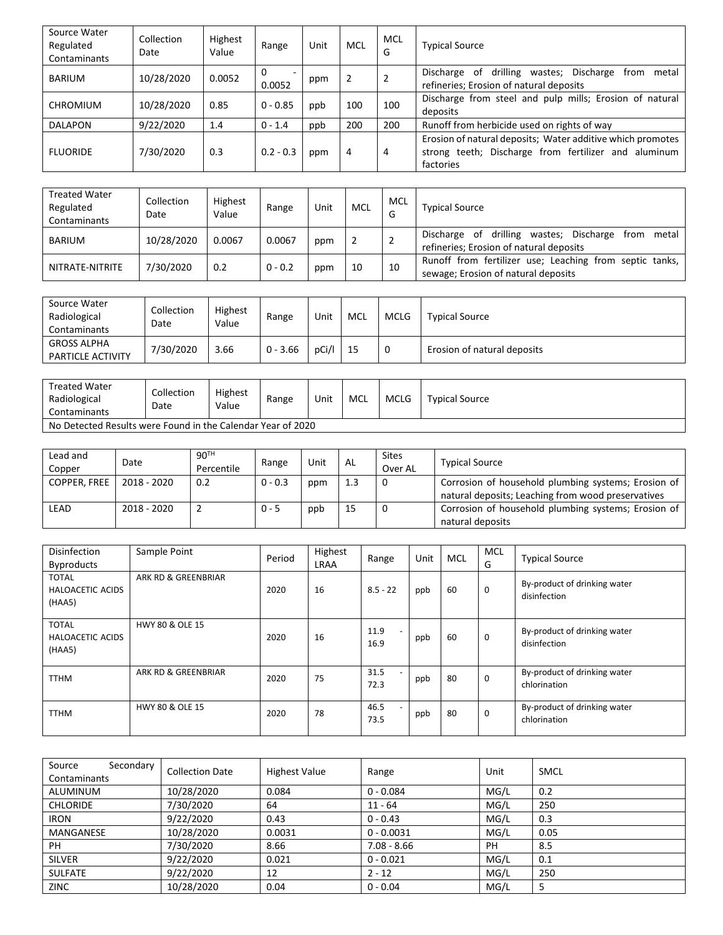| Source Water<br>Regulated<br>Contaminants                   |      | Collection<br>Date  | Highest<br>Value  | Range       | Unit        | <b>MCL</b>     |      | MCL<br>G       |                             | <b>Typical Source</b>                                                                                     |             |                                                                                                |  |
|-------------------------------------------------------------|------|---------------------|-------------------|-------------|-------------|----------------|------|----------------|-----------------------------|-----------------------------------------------------------------------------------------------------------|-------------|------------------------------------------------------------------------------------------------|--|
| <b>BARIUM</b>                                               |      | 10/28/2020          | 0.0052            | 0<br>0.0052 | ppm         | $\overline{2}$ |      | $\overline{2}$ |                             | Discharge of drilling wastes; Discharge from metal<br>refineries; Erosion of natural deposits             |             |                                                                                                |  |
| <b>CHROMIUM</b>                                             |      | 10/28/2020          | 0.85              | $0 - 0.85$  | ppb         | 100            |      | 100            |                             | Discharge from steel and pulp mills; Erosion of natural<br>deposits                                       |             |                                                                                                |  |
| <b>DALAPON</b>                                              |      | 9/22/2020           | 1.4               | $0 - 1.4$   | ppb         | 200            |      | 200            |                             |                                                                                                           |             | Runoff from herbicide used on rights of way                                                    |  |
|                                                             |      |                     |                   |             |             |                |      |                |                             |                                                                                                           |             | Erosion of natural deposits; Water additive which promotes                                     |  |
| <b>FLUORIDE</b>                                             |      | 7/30/2020           | 0.3               | $0.2 - 0.3$ | ppm         | 4              |      | 4              |                             | factories                                                                                                 |             | strong teeth; Discharge from fertilizer and aluminum                                           |  |
|                                                             |      |                     |                   |             |             |                |      |                |                             |                                                                                                           |             |                                                                                                |  |
| <b>Treated Water</b>                                        |      | Collection          | Highest           |             |             |                |      | <b>MCL</b>     |                             |                                                                                                           |             |                                                                                                |  |
| Regulated                                                   |      | Date                | Value             | Range       | Unit        | <b>MCL</b>     |      | G              |                             | <b>Typical Source</b>                                                                                     |             |                                                                                                |  |
| Contaminants                                                |      |                     |                   |             |             |                |      |                |                             |                                                                                                           |             | Discharge of drilling wastes; Discharge from metal                                             |  |
| <b>BARIUM</b>                                               |      | 10/28/2020          | 0.0067            | 0.0067      | ppm         | $\overline{2}$ |      | 2              |                             |                                                                                                           |             | refineries; Erosion of natural deposits                                                        |  |
| NITRATE-NITRITE                                             |      | 7/30/2020           | 0.2               | $0 - 0.2$   | ppm         | 10             |      | 10             |                             |                                                                                                           |             | Runoff from fertilizer use; Leaching from septic tanks,<br>sewage; Erosion of natural deposits |  |
|                                                             |      |                     |                   |             |             |                |      |                |                             |                                                                                                           |             |                                                                                                |  |
| Source Water                                                |      | Collection          | Highest           |             |             |                |      |                |                             |                                                                                                           |             |                                                                                                |  |
| Radiological                                                |      | Date                | Value             | Range       | Unit        | MCL            |      | <b>MCLG</b>    |                             | <b>Typical Source</b>                                                                                     |             |                                                                                                |  |
| Contaminants                                                |      |                     |                   |             |             |                |      |                |                             |                                                                                                           |             |                                                                                                |  |
| <b>GROSS ALPHA</b><br>PARTICLE ACTIVITY                     |      | 7/30/2020           | 3.66              | $0 - 3.66$  | pCi/l       | 15             |      | 0              | Erosion of natural deposits |                                                                                                           |             |                                                                                                |  |
|                                                             |      |                     |                   |             |             |                |      |                |                             |                                                                                                           |             |                                                                                                |  |
| <b>Treated Water</b>                                        |      |                     |                   |             |             |                |      |                |                             |                                                                                                           |             |                                                                                                |  |
| Radiological                                                |      | Collection          | Highest<br>Value  |             | Unit        | <b>MCL</b>     |      | <b>MCLG</b>    |                             | <b>Typical Source</b>                                                                                     |             |                                                                                                |  |
| Contaminants                                                |      | Date                |                   |             |             |                |      |                |                             |                                                                                                           |             |                                                                                                |  |
| No Detected Results were Found in the Calendar Year of 2020 |      |                     |                   |             |             |                |      |                |                             |                                                                                                           |             |                                                                                                |  |
|                                                             |      |                     |                   |             |             |                |      |                |                             |                                                                                                           |             |                                                                                                |  |
| Lead and                                                    | Date |                     | 90 <sup>TH</sup>  | Range       | Unit        | AL             |      | <b>Sites</b>   |                             | <b>Typical Source</b>                                                                                     |             |                                                                                                |  |
| Copper<br>COPPER, FREE                                      |      | 2018 - 2020         | Percentile<br>0.2 | $0 - 0.3$   |             | 1.3            |      | Over AL<br>0   |                             |                                                                                                           |             |                                                                                                |  |
|                                                             |      |                     |                   |             | ppm         |                |      |                |                             | Corrosion of household plumbing systems; Erosion of<br>natural deposits; Leaching from wood preservatives |             |                                                                                                |  |
| LEAD                                                        |      | 2018 - 2020         | $\overline{2}$    | $0 - 5$     | ppb         | 15             |      | 0              |                             |                                                                                                           |             | Corrosion of household plumbing systems; Erosion of                                            |  |
|                                                             |      |                     |                   |             |             |                |      |                |                             | natural deposits                                                                                          |             |                                                                                                |  |
|                                                             |      |                     |                   |             |             |                |      |                |                             |                                                                                                           |             |                                                                                                |  |
| Disinfection                                                |      | Sample Point        |                   | Period      | Highest     |                |      | Range          | Unit                        | MCL                                                                                                       | MCL         | <b>Typical Source</b>                                                                          |  |
| <b>Byproducts</b>                                           |      |                     |                   |             | <b>LRAA</b> |                |      |                |                             |                                                                                                           | G           |                                                                                                |  |
| <b>TOTAL</b><br>HALOACETIC ACIDS                            |      | ARK RD & GREENBRIAR |                   | 2020        | 16          |                |      | $8.5 - 22$     | ppb                         | 60                                                                                                        | 0           | By-product of drinking water                                                                   |  |
| (HAA5)                                                      |      |                     |                   |             |             |                |      |                |                             |                                                                                                           |             | disinfection                                                                                   |  |
|                                                             |      |                     |                   |             |             |                |      |                |                             |                                                                                                           |             |                                                                                                |  |
| <b>TOTAL</b>                                                |      |                     | HWY 80 & OLE 15   |             |             |                | 11.9 |                |                             |                                                                                                           |             | By-product of drinking water                                                                   |  |
| HALOACETIC ACIDS<br>(HAA5)                                  |      |                     |                   | 2020        | 16          |                | 16.9 |                | ppb                         | 60                                                                                                        | 0           | disinfection                                                                                   |  |
|                                                             |      |                     |                   |             |             |                |      |                |                             |                                                                                                           |             |                                                                                                |  |
| <b>TTHM</b>                                                 |      | ARK RD & GREENBRIAR |                   | 2020        | 75          |                |      | 31.5           | ppb                         | 80                                                                                                        | $\mathbf 0$ | By-product of drinking water                                                                   |  |
|                                                             |      |                     |                   |             |             |                | 72.3 |                |                             |                                                                                                           |             | chlorination                                                                                   |  |
|                                                             |      | HWY 80 & OLE 15     |                   |             |             |                | 46.5 |                |                             |                                                                                                           | 0           | By-product of drinking water                                                                   |  |
| <b>TTHM</b>                                                 |      |                     |                   | 2020        | 78          |                | 73.5 |                | ppb                         | 80                                                                                                        |             | chlorination                                                                                   |  |

| Source<br>Secondary<br>Contaminants | <b>Collection Date</b> | <b>Highest Value</b> | Range         | Unit | <b>SMCL</b> |
|-------------------------------------|------------------------|----------------------|---------------|------|-------------|
| ALUMINUM                            | 10/28/2020             | 0.084                | $0 - 0.084$   | MG/L | 0.2         |
| <b>CHLORIDE</b>                     | 7/30/2020              | 64                   | 11 - 64       | MG/L | 250         |
| <b>IRON</b>                         | 9/22/2020              | 0.43                 | $0 - 0.43$    | MG/L | 0.3         |
| MANGANESE                           | 10/28/2020             | 0.0031               | $0 - 0.0031$  | MG/L | 0.05        |
| PH                                  | 7/30/2020              | 8.66                 | $7.08 - 8.66$ | PH   | 8.5         |
| <b>SILVER</b>                       | 9/22/2020              | 0.021                | $0 - 0.021$   | MG/L | 0.1         |
| <b>SULFATE</b>                      | 9/22/2020              | 12                   | $2 - 12$      | MG/L | 250         |
| <b>ZINC</b>                         | 10/28/2020             | 0.04                 | $0 - 0.04$    | MG/L |             |